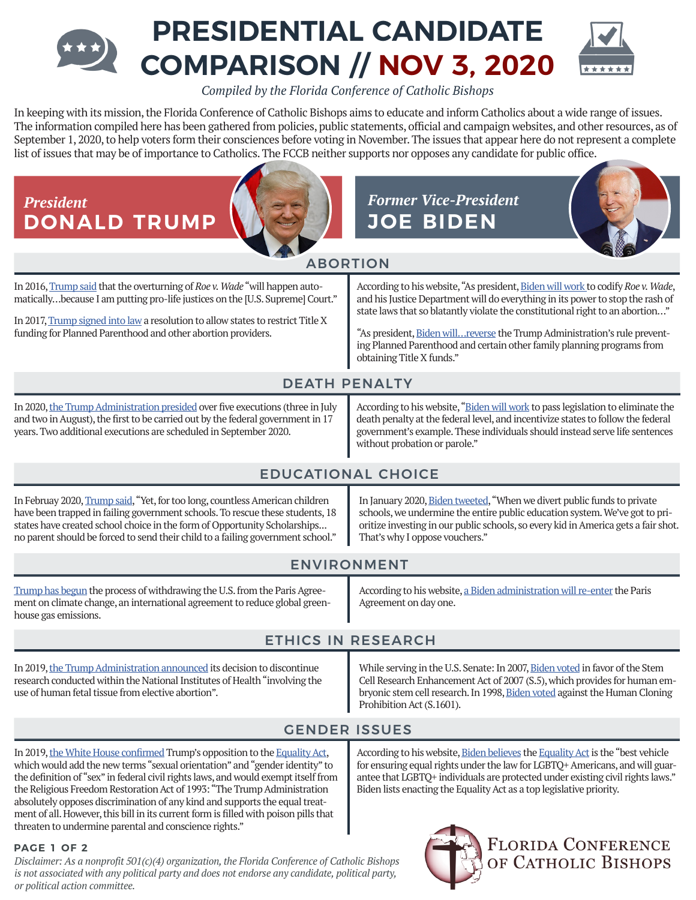# **PRESIDENTIAL CANDIDATE COMPARISON // NOV 3, 2020**

*Compiled by the Florida Conference of Catholic Bishops*

In keeping with its mission, the Florida Conference of Catholic Bishops aims to educate and inform Catholics about a wide range of issues. The information compiled here has been gathered from policies, public statements, official and campaign websites, and other resources, as of September 1, 2020, to help voters form their consciences before voting in November. The issues that appear here do not represent a complete list of issues that may be of importance to Catholics. The FCCB neither supports nor opposes any candidate for public office.



*Disclaimer: As a nonprofit 501(c)(4) organization,the Florida Conference of Catholic Bishops is not associated with any political party and does not endorse any candidate, political party, or political action committee.*

# **FLORIDA CONFERENCE** OF CATHOLIC BISHOPS